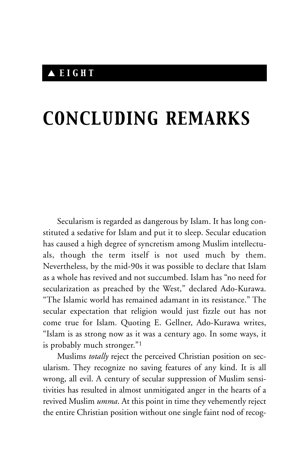## ▲ *EIGHT*

## *CONCLUDING REMARKS*

Secularism is regarded as dangerous by Islam. It has long constituted a sedative for Islam and put it to sleep. Secular education has caused a high degree of syncretism among Muslim intellectuals, though the term itself is not used much by them. Nevertheless, by the mid-90s it was possible to declare that Islam as a whole has revived and not succumbed. Islam has "no need for secularization as preached by the West," declared Ado-Kurawa. "The Islamic world has remained adamant in its resistance." The secular expectation that religion would just fizzle out has not come true for Islam. Quoting E. Gellner, Ado-Kurawa writes, "Islam is as strong now as it was a century ago. In some ways, it is probably much stronger."1

Muslims *totally* reject the perceived Christian position on secularism. They recognize no saving features of any kind. It is all wrong, all evil. A century of secular suppression of Muslim sensitivities has resulted in almost unmitigated anger in the hearts of a revived Muslim *umma*. At this point in time they vehemently reject the entire Christian position without one single faint nod of recog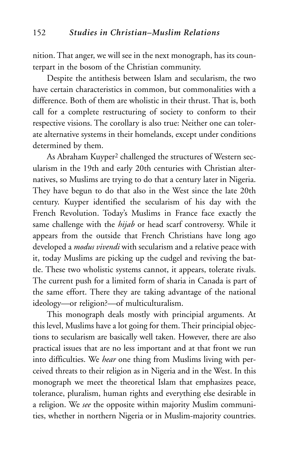nition. That anger, we will see in the next monograph, has its counterpart in the bosom of the Christian community.

Despite the antithesis between Islam and secularism, the two have certain characteristics in common, but commonalities with a difference. Both of them are wholistic in their thrust. That is, both call for a complete restructuring of society to conform to their respective visions. The corollary is also true: Neither one can tolerate alternative systems in their homelands, except under conditions determined by them.

As Abraham Kuyper<sup>2</sup> challenged the structures of Western secularism in the 19th and early 20th centuries with Christian alternatives, so Muslims are trying to do that a century later in Nigeria. They have begun to do that also in the West since the late 20th century. Kuyper identified the secularism of his day with the French Revolution. Today's Muslims in France face exactly the same challenge with the *hijab* or head scarf controversy. While it appears from the outside that French Christians have long ago developed a *modus vivendi* with secularism and a relative peace with it, today Muslims are picking up the cudgel and reviving the battle. These two wholistic systems cannot, it appears, tolerate rivals. The current push for a limited form of sharia in Canada is part of the same effort. There they are taking advantage of the national ideology—or religion?—of multiculturalism.

This monograph deals mostly with principial arguments. At this level, Muslims have a lot going for them. Their principial objections to secularism are basically well taken. However, there are also practical issues that are no less important and at that front we run into difficulties. We *hear* one thing from Muslims living with perceived threats to their religion as in Nigeria and in the West. In this monograph we meet the theoretical Islam that emphasizes peace, tolerance, pluralism, human rights and everything else desirable in a religion. We *see* the opposite within majority Muslim communities, whether in northern Nigeria or in Muslim-majority countries.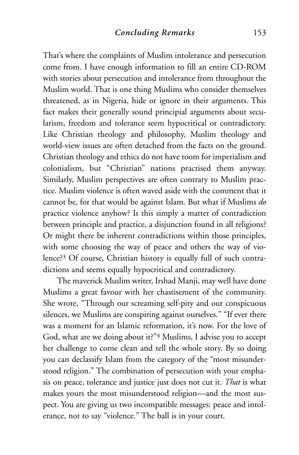That's where the complaints of Muslim intolerance and persecution come from. I have enough information to fill an entire CD-ROM with stories about persecution and intolerance from throughout the Muslim world. That is one thing Muslims who consider themselves threatened, as in Nigeria, hide or ignore in their arguments. This fact makes their generally sound principial arguments about secularism, freedom and tolerance seem hypocritical or contradictory. Like Christian theology and philosophy, Muslim theology and world-view issues are often detached from the facts on the ground. Christian theology and ethics do not have room for imperialism and colonialism, but "Christian" nations practised them anyway. Similarly, Muslim perspectives are often contrary to Muslim practice. Muslim violence is often waved aside with the comment that it cannot be, for that would be against Islam. But what if Muslims *do* practice violence anyhow? Is this simply a matter of contradiction between principle and practice, a disjunction found in all religions? Or might there be inherent contradictions within those principles, with some choosing the way of peace and others the way of violence?3 Of course, Christian history is equally full of such contradictions and seems equally hypocritical and contradictory.

The maverick Muslim writer, Irshad Manji, may well have done Muslims a great favour with her chastisement of the community. She wrote, "Through our screaming self-pity and our conspicuous silences, we Muslims are conspiring against ourselves." "If ever there was a moment for an Islamic reformation, it's now. For the love of God, what are we doing about it?"4 Muslims, I advise you to accept her challenge to come clean and tell the whole story. By so doing you can declassify Islam from the category of the "most misunderstood religion." The combination of persecution with your emphasis on peace, tolerance and justice just does not cut it. *That* is what makes yours the most misunderstood religion—and the most suspect. You are giving us two incompatible messages: peace and intolerance, not to say "violence." The ball is in your court.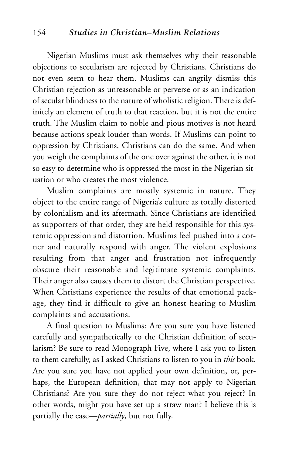## 154 *Studies in Christian–Muslim Relations*

Nigerian Muslims must ask themselves why their reasonable objections to secularism are rejected by Christians. Christians do not even seem to hear them. Muslims can angrily dismiss this Christian rejection as unreasonable or perverse or as an indication of secular blindness to the nature of wholistic religion. There is definitely an element of truth to that reaction, but it is not the entire truth. The Muslim claim to noble and pious motives is not heard because actions speak louder than words. If Muslims can point to oppression by Christians, Christians can do the same. And when you weigh the complaints of the one over against the other, it is not so easy to determine who is oppressed the most in the Nigerian situation or who creates the most violence.

Muslim complaints are mostly systemic in nature. They object to the entire range of Nigeria's culture as totally distorted by colonialism and its aftermath. Since Christians are identified as supporters of that order, they are held responsible for this systemic oppression and distortion. Muslims feel pushed into a corner and naturally respond with anger. The violent explosions resulting from that anger and frustration not infrequently obscure their reasonable and legitimate systemic complaints. Their anger also causes them to distort the Christian perspective. When Christians experience the results of that emotional package, they find it difficult to give an honest hearing to Muslim complaints and accusations.

A final question to Muslims: Are you sure you have listened carefully and sympathetically to the Christian definition of secularism? Be sure to read Monograph Five, where I ask you to listen to them carefully, as I asked Christians to listen to you in *this* book. Are you sure you have not applied your own definition, or, perhaps, the European definition, that may not apply to Nigerian Christians? Are you sure they do not reject what you reject? In other words, might you have set up a straw man? I believe this is partially the case—*partially*, but not fully.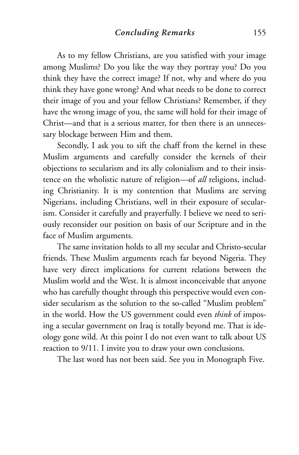As to my fellow Christians, are you satisfied with your image among Muslims? Do you like the way they portray you? Do you think they have the correct image? If not, why and where do you think they have gone wrong? And what needs to be done to correct their image of you and your fellow Christians? Remember, if they have the wrong image of you, the same will hold for their image of Christ—and that is a serious matter, for then there is an unnecessary blockage between Him and them.

Secondly, I ask you to sift the chaff from the kernel in these Muslim arguments and carefully consider the kernels of their objections to secularism and its ally colonialism and to their insistence on the wholistic nature of religion—of *all* religions, including Christianity. It is my contention that Muslims are serving Nigerians, including Christians, well in their exposure of secularism. Consider it carefully and prayerfully. I believe we need to seriously reconsider our position on basis of our Scripture and in the face of Muslim arguments.

The same invitation holds to all my secular and Christo-secular friends. These Muslim arguments reach far beyond Nigeria. They have very direct implications for current relations between the Muslim world and the West. It is almost inconceivable that anyone who has carefully thought through this perspective would even consider secularism as the solution to the so-called "Muslim problem" in the world. How the US government could even *think* of imposing a secular government on Iraq is totally beyond me. That is ideology gone wild. At this point I do not even want to talk about US reaction to 9/11. I invite you to draw your own conclusions.

The last word has not been said. See you in Monograph Five.